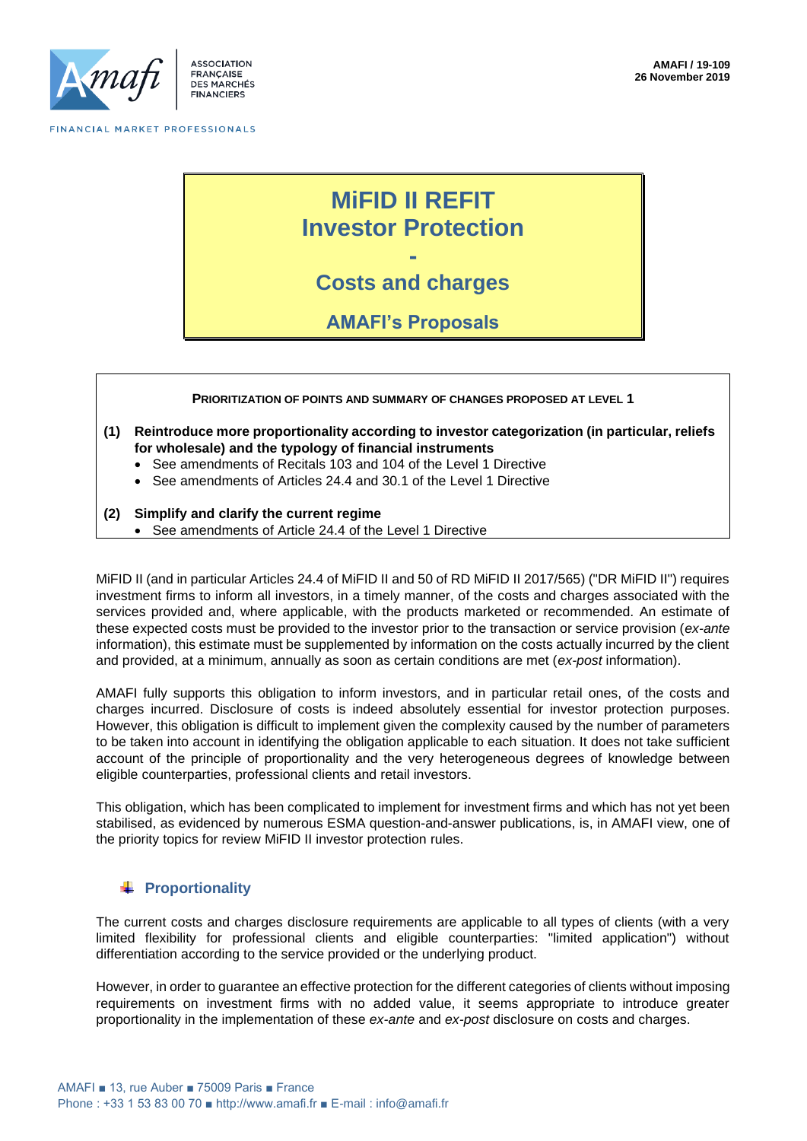

# **MiFID II REFIT Investor Protection**

**- Costs and charges**

**AMAFI's Proposals**

#### **PRIORITIZATION OF POINTS AND SUMMARY OF CHANGES PROPOSED AT LEVEL 1**

- **(1) Reintroduce more proportionality according to investor categorization (in particular, reliefs for wholesale) and the typology of financial instruments**
	- See amendments of Recitals 103 and 104 of the Level 1 Directive
	- See amendments of Articles 24.4 and 30.1 of the Level 1 Directive

### **(2) Simplify and clarify the current regime**

• See amendments of Article 24.4 of the Level 1 Directive

MiFID II (and in particular Articles 24.4 of MiFID II and 50 of RD MiFID II 2017/565) ("DR MiFID II") requires investment firms to inform all investors, in a timely manner, of the costs and charges associated with the services provided and, where applicable, with the products marketed or recommended. An estimate of these expected costs must be provided to the investor prior to the transaction or service provision (*ex-ante* information), this estimate must be supplemented by information on the costs actually incurred by the client and provided, at a minimum, annually as soon as certain conditions are met (*ex-post* information).

AMAFI fully supports this obligation to inform investors, and in particular retail ones, of the costs and charges incurred. Disclosure of costs is indeed absolutely essential for investor protection purposes. However, this obligation is difficult to implement given the complexity caused by the number of parameters to be taken into account in identifying the obligation applicable to each situation. It does not take sufficient account of the principle of proportionality and the very heterogeneous degrees of knowledge between eligible counterparties, professional clients and retail investors.

This obligation, which has been complicated to implement for investment firms and which has not yet been stabilised, as evidenced by numerous ESMA question-and-answer publications, is, in AMAFI view, one of the priority topics for review MiFID II investor protection rules.

### **Proportionality**

The current costs and charges disclosure requirements are applicable to all types of clients (with a very limited flexibility for professional clients and eligible counterparties: "limited application") without differentiation according to the service provided or the underlying product.

However, in order to guarantee an effective protection for the different categories of clients without imposing requirements on investment firms with no added value, it seems appropriate to introduce greater proportionality in the implementation of these *ex-ante* and *ex-post* disclosure on costs and charges.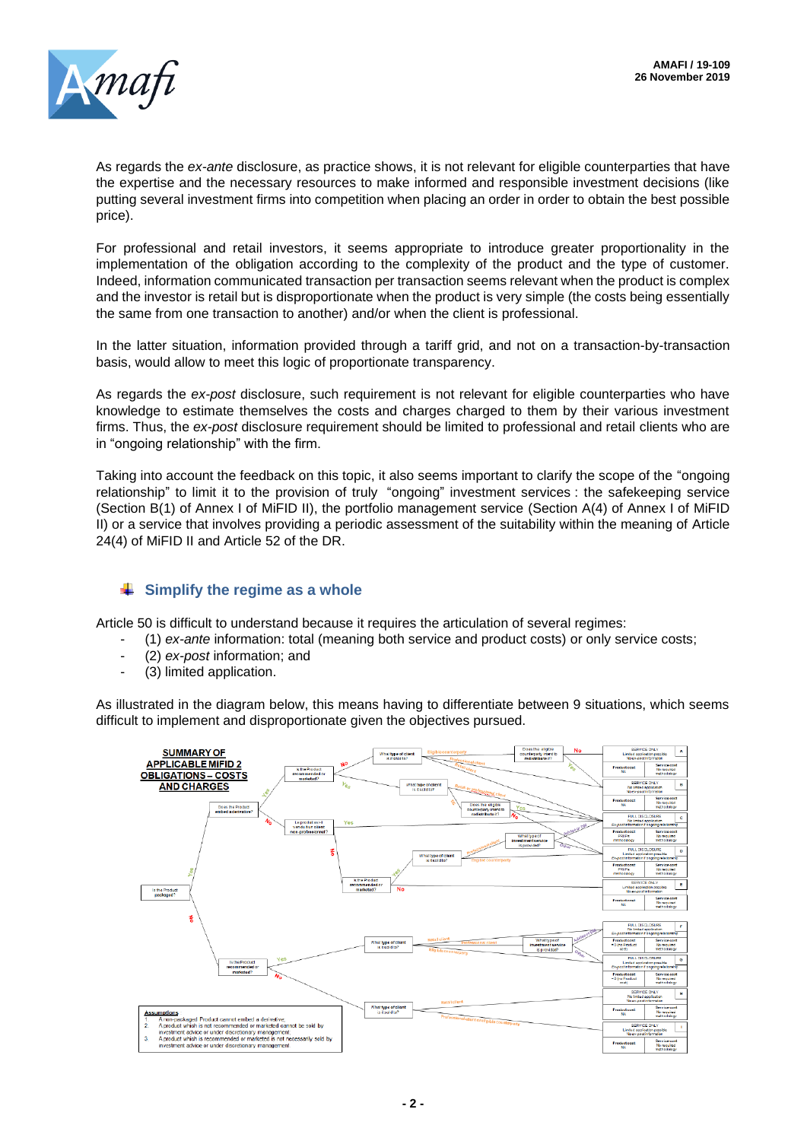

As regards the *ex-ante* disclosure, as practice shows, it is not relevant for eligible counterparties that have the expertise and the necessary resources to make informed and responsible investment decisions (like putting several investment firms into competition when placing an order in order to obtain the best possible price).

For professional and retail investors, it seems appropriate to introduce greater proportionality in the implementation of the obligation according to the complexity of the product and the type of customer. Indeed, information communicated transaction per transaction seems relevant when the product is complex and the investor is retail but is disproportionate when the product is very simple (the costs being essentially the same from one transaction to another) and/or when the client is professional.

In the latter situation, information provided through a tariff grid, and not on a transaction-by-transaction basis, would allow to meet this logic of proportionate transparency.

As regards the *ex-post* disclosure, such requirement is not relevant for eligible counterparties who have knowledge to estimate themselves the costs and charges charged to them by their various investment firms. Thus, the *ex-post* disclosure requirement should be limited to professional and retail clients who are in "ongoing relationship" with the firm.

Taking into account the feedback on this topic, it also seems important to clarify the scope of the "ongoing relationship" to limit it to the provision of truly "ongoing" investment services : the safekeeping service (Section B(1) of Annex I of MiFID II), the portfolio management service (Section A(4) of Annex I of MiFID II) or a service that involves providing a periodic assessment of the suitability within the meaning of Article 24(4) of MiFID II and Article 52 of the DR.

# $\frac{1}{2}$  Simplify the regime as a whole

Article 50 is difficult to understand because it requires the articulation of several regimes:

- (1) *ex-ante* information: total (meaning both service and product costs) or only service costs;
- (2) *ex-post* information; and
- (3) limited application.

As illustrated in the diagram below, this means having to differentiate between 9 situations, which seems difficult to implement and disproportionate given the objectives pursued.

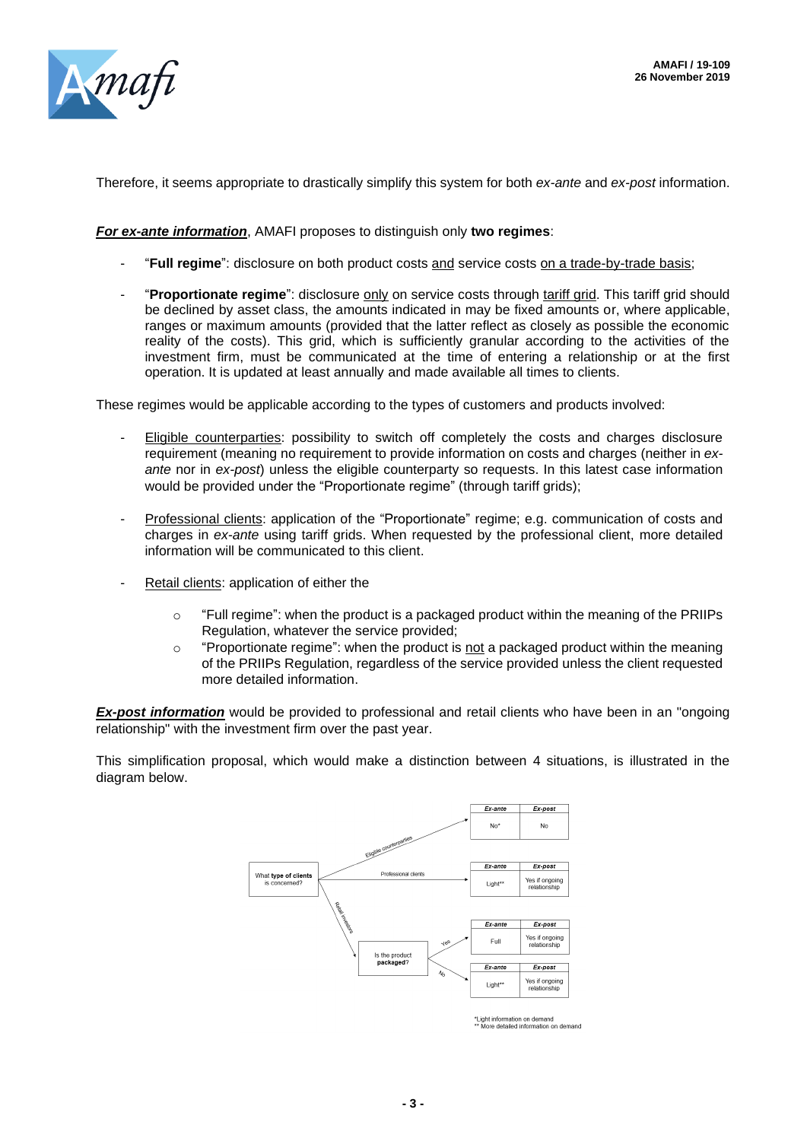

Therefore, it seems appropriate to drastically simplify this system for both *ex-ante* and *ex-post* information.

### *For ex-ante information*, AMAFI proposes to distinguish only **two regimes**:

- "**Full regime**": disclosure on both product costs and service costs on a trade-by-trade basis;
- "**Proportionate regime**": disclosure only on service costs through tariff grid. This tariff grid should be declined by asset class, the amounts indicated in may be fixed amounts or, where applicable, ranges or maximum amounts (provided that the latter reflect as closely as possible the economic reality of the costs). This grid, which is sufficiently granular according to the activities of the investment firm, must be communicated at the time of entering a relationship or at the first operation. It is updated at least annually and made available all times to clients.

These regimes would be applicable according to the types of customers and products involved:

- Eligible counterparties: possibility to switch off completely the costs and charges disclosure requirement (meaning no requirement to provide information on costs and charges (neither in *exante* nor in *ex-post*) unless the eligible counterparty so requests. In this latest case information would be provided under the "Proportionate regime" (through tariff grids);
- Professional clients: application of the "Proportionate" regime; e.g. communication of costs and charges in *ex-ante* using tariff grids. When requested by the professional client, more detailed information will be communicated to this client.
- Retail clients: application of either the
	- $\circ$  "Full regime": when the product is a packaged product within the meaning of the PRIIPs Regulation, whatever the service provided;
	- o "Proportionate regime": when the product is not a packaged product within the meaning of the PRIIPs Regulation, regardless of the service provided unless the client requested more detailed information.

*Ex-post information* would be provided to professional and retail clients who have been in an "ongoing relationship" with the investment firm over the past year.

This simplification proposal, which would make a distinction between 4 situations, is illustrated in the diagram below.



\*Light information on demand<br>\*\* More detailed information on demand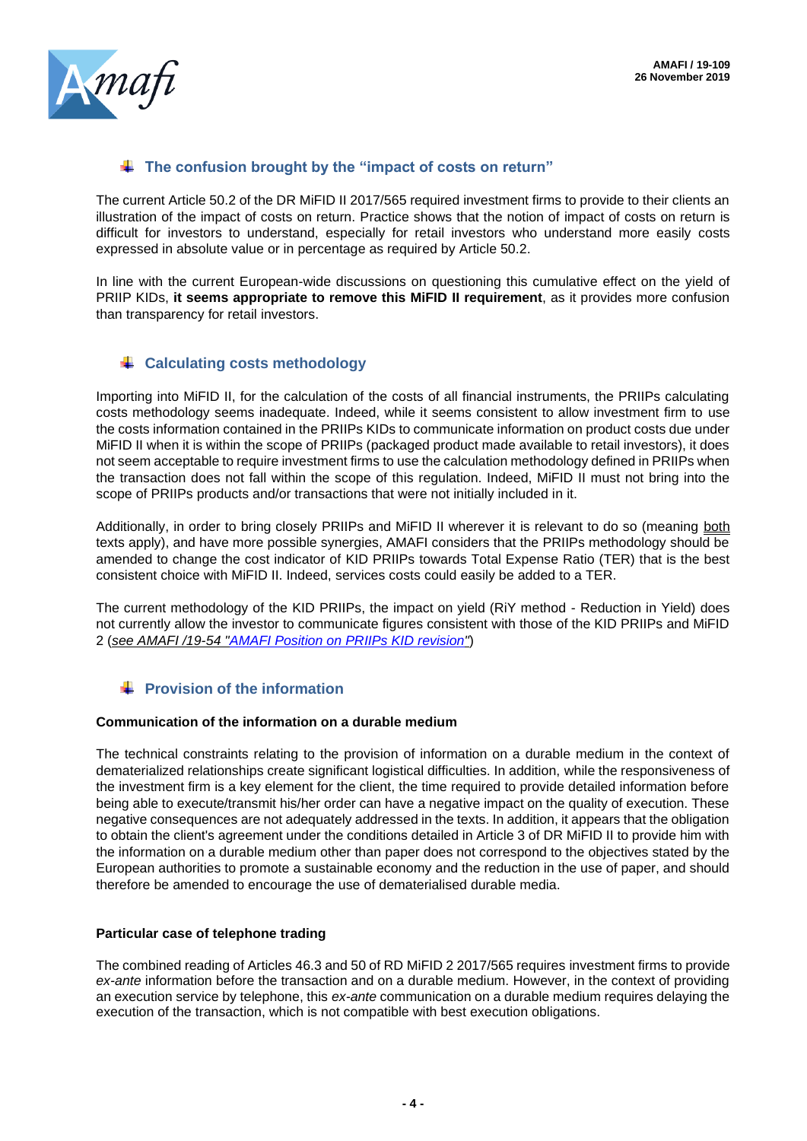

# **The confusion brought by the "impact of costs on return"**

The current Article 50.2 of the DR MiFID II 2017/565 required investment firms to provide to their clients an illustration of the impact of costs on return. Practice shows that the notion of impact of costs on return is difficult for investors to understand, especially for retail investors who understand more easily costs expressed in absolute value or in percentage as required by Article 50.2.

In line with the current European-wide discussions on questioning this cumulative effect on the yield of PRIIP KIDs, **it seems appropriate to remove this MiFID II requirement**, as it provides more confusion than transparency for retail investors.

# **Calculating costs methodology**

Importing into MiFID II, for the calculation of the costs of all financial instruments, the PRIIPs calculating costs methodology seems inadequate. Indeed, while it seems consistent to allow investment firm to use the costs information contained in the PRIIPs KIDs to communicate information on product costs due under MiFID II when it is within the scope of PRIIPs (packaged product made available to retail investors), it does not seem acceptable to require investment firms to use the calculation methodology defined in PRIIPs when the transaction does not fall within the scope of this regulation. Indeed, MiFID II must not bring into the scope of PRIIPs products and/or transactions that were not initially included in it.

Additionally, in order to bring closely PRIIPs and MiFID II wherever it is relevant to do so (meaning both texts apply), and have more possible synergies, AMAFI considers that the PRIIPs methodology should be amended to change the cost indicator of KID PRIIPs towards Total Expense Ratio (TER) that is the best consistent choice with MiFID II. Indeed, services costs could easily be added to a TER.

The current methodology of the KID PRIIPs, the impact on yield (RiY method - Reduction in Yield) does not currently allow the investor to communicate figures consistent with those of the KID PRIIPs and MiFID 2 (*see AMAFI /19-54 ["AMAFI Position on PRIIPs KID revision"](http://www.amafi.fr/sitesearch/fr?search=19-54)*)

# **F** Provision of the information

### **Communication of the information on a durable medium**

The technical constraints relating to the provision of information on a durable medium in the context of dematerialized relationships create significant logistical difficulties. In addition, while the responsiveness of the investment firm is a key element for the client, the time required to provide detailed information before being able to execute/transmit his/her order can have a negative impact on the quality of execution. These negative consequences are not adequately addressed in the texts. In addition, it appears that the obligation to obtain the client's agreement under the conditions detailed in Article 3 of DR MiFID II to provide him with the information on a durable medium other than paper does not correspond to the objectives stated by the European authorities to promote a sustainable economy and the reduction in the use of paper, and should therefore be amended to encourage the use of dematerialised durable media.

### **Particular case of telephone trading**

The combined reading of Articles 46.3 and 50 of RD MiFID 2 2017/565 requires investment firms to provide *ex-ante* information before the transaction and on a durable medium. However, in the context of providing an execution service by telephone, this *ex-ante* communication on a durable medium requires delaying the execution of the transaction, which is not compatible with best execution obligations.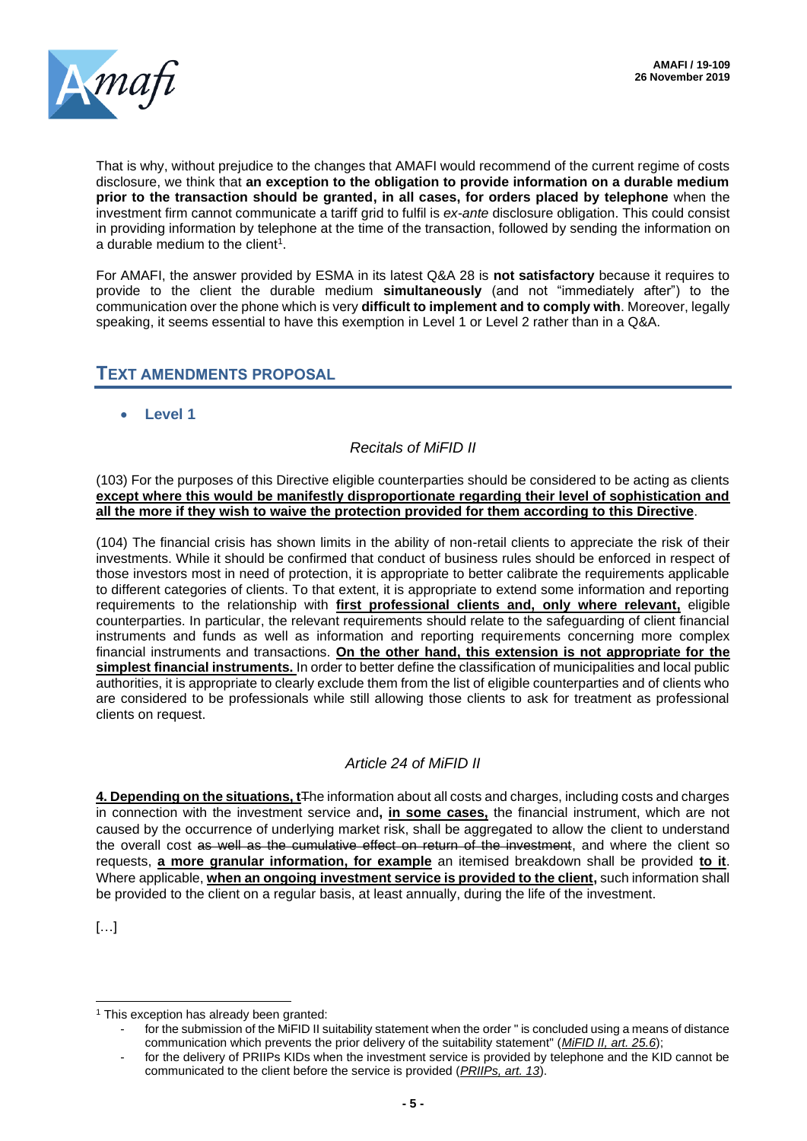

That is why, without prejudice to the changes that AMAFI would recommend of the current regime of costs disclosure, we think that **an exception to the obligation to provide information on a durable medium prior to the transaction should be granted, in all cases, for orders placed by telephone** when the investment firm cannot communicate a tariff grid to fulfil is *ex-ante* disclosure obligation. This could consist in providing information by telephone at the time of the transaction, followed by sending the information on a durable medium to the client<sup>1</sup>.

For AMAFI, the answer provided by ESMA in its latest Q&A 28 is **not satisfactory** because it requires to provide to the client the durable medium **simultaneously** (and not "immediately after") to the communication over the phone which is very **difficult to implement and to comply with**. Moreover, legally speaking, it seems essential to have this exemption in Level 1 or Level 2 rather than in a Q&A.

# **TEXT AMENDMENTS PROPOSAL**

• **Level 1** 

# *Recitals of MiFID II*

(103) For the purposes of this Directive eligible counterparties should be considered to be acting as clients **except where this would be manifestly disproportionate regarding their level of sophistication and all the more if they wish to waive the protection provided for them according to this Directive**.

(104) The financial crisis has shown limits in the ability of non-retail clients to appreciate the risk of their investments. While it should be confirmed that conduct of business rules should be enforced in respect of those investors most in need of protection, it is appropriate to better calibrate the requirements applicable to different categories of clients. To that extent, it is appropriate to extend some information and reporting requirements to the relationship with **first professional clients and, only where relevant,** eligible counterparties. In particular, the relevant requirements should relate to the safeguarding of client financial instruments and funds as well as information and reporting requirements concerning more complex financial instruments and transactions. **On the other hand, this extension is not appropriate for the simplest financial instruments.** In order to better define the classification of municipalities and local public authorities, it is appropriate to clearly exclude them from the list of eligible counterparties and of clients who are considered to be professionals while still allowing those clients to ask for treatment as professional clients on request.

### *Article 24 of MiFID II*

**4. Depending on the situations, t**The information about all costs and charges, including costs and charges in connection with the investment service and**, in some cases,** the financial instrument, which are not caused by the occurrence of underlying market risk, shall be aggregated to allow the client to understand the overall cost as well as the cumulative effect on return of the investment, and where the client so requests, **a more granular information, for example** an itemised breakdown shall be provided **to it**. Where applicable, **when an ongoing investment service is provided to the client,** such information shall be provided to the client on a regular basis, at least annually, during the life of the investment.

[…]

<sup>&</sup>lt;sup>1</sup> This exception has already been granted:

for the submission of the MiFID II suitability statement when the order " is concluded using a means of distance communication which prevents the prior delivery of the suitability statement" (*MiFID II, art. 25.6*);

for the delivery of PRIIPs KIDs when the investment service is provided by telephone and the KID cannot be communicated to the client before the service is provided (*PRIIPs, art. 13*).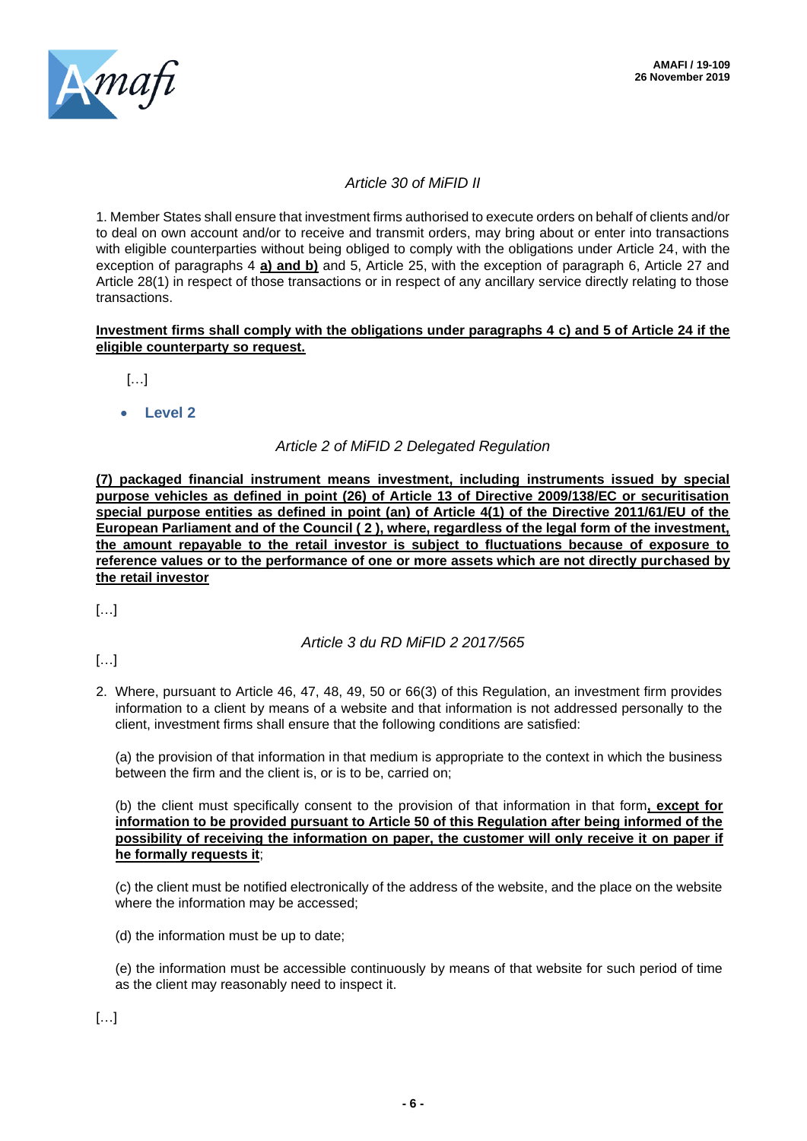

### *Article 30 of MiFID II*

1. Member States shall ensure that investment firms authorised to execute orders on behalf of clients and/or to deal on own account and/or to receive and transmit orders, may bring about or enter into transactions with eligible counterparties without being obliged to comply with the obligations under Article 24, with the exception of paragraphs 4 **a) and b)** and 5, Article 25, with the exception of paragraph 6, Article 27 and Article 28(1) in respect of those transactions or in respect of any ancillary service directly relating to those transactions.

### **Investment firms shall comply with the obligations under paragraphs 4 c) and 5 of Article 24 if the eligible counterparty so request.**

 $\left[\ldots\right]$ 

• **Level 2** 

# *Article 2 of MiFID 2 Delegated Regulation*

**(7) packaged financial instrument means investment, including instruments issued by special purpose vehicles as defined in point (26) of Article 13 of Directive 2009/138/EC or securitisation special purpose entities as defined in point (an) of Article 4(1) of the Directive 2011/61/EU of the European Parliament and of the Council ( 2 ), where, regardless of the legal form of the investment, the amount repayable to the retail investor is subject to fluctuations because of exposure to reference values or to the performance of one or more assets which are not directly purchased by the retail investor**

 $[...]$ 

### *Article 3 du RD MiFID 2 2017/565*

[…]

2. Where, pursuant to Article 46, 47, 48, 49, 50 or 66(3) of this Regulation, an investment firm provides information to a client by means of a website and that information is not addressed personally to the client, investment firms shall ensure that the following conditions are satisfied:

(a) the provision of that information in that medium is appropriate to the context in which the business between the firm and the client is, or is to be, carried on;

(b) the client must specifically consent to the provision of that information in that form**, except for information to be provided pursuant to Article 50 of this Regulation after being informed of the possibility of receiving the information on paper, the customer will only receive it on paper if he formally requests it**;

(c) the client must be notified electronically of the address of the website, and the place on the website where the information may be accessed;

(d) the information must be up to date;

(e) the information must be accessible continuously by means of that website for such period of time as the client may reasonably need to inspect it.

[…]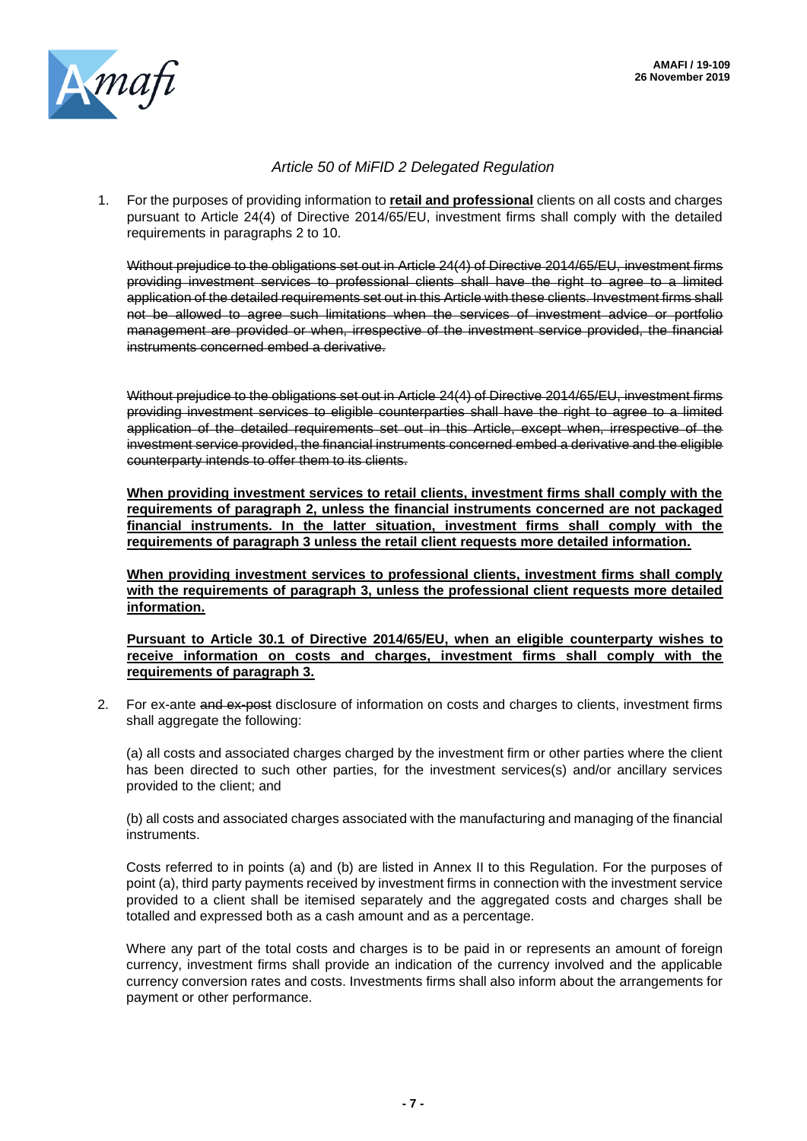

### *Article 50 of MiFID 2 Delegated Regulation*

1. For the purposes of providing information to **retail and professional** clients on all costs and charges pursuant to Article 24(4) of Directive 2014/65/EU, investment firms shall comply with the detailed requirements in paragraphs 2 to 10.

Without prejudice to the obligations set out in Article 24(4) of Directive 2014/65/EU, investment firms providing investment services to professional clients shall have the right to agree to a limited application of the detailed requirements set out in this Article with these clients. Investment firms shall not be allowed to agree such limitations when the services of investment advice or portfolio management are provided or when, irrespective of the investment service provided, the financial instruments concerned embed a derivative.

Without prejudice to the obligations set out in Article 24(4) of Directive 2014/65/EU, investment firms providing investment services to eligible counterparties shall have the right to agree to a limited application of the detailed requirements set out in this Article, except when, irrespective of the investment service provided, the financial instruments concerned embed a derivative and the eligible counterparty intends to offer them to its clients.

**When providing investment services to retail clients, investment firms shall comply with the requirements of paragraph 2, unless the financial instruments concerned are not packaged financial instruments. In the latter situation, investment firms shall comply with the requirements of paragraph 3 unless the retail client requests more detailed information.**

**When providing investment services to professional clients, investment firms shall comply with the requirements of paragraph 3, unless the professional client requests more detailed information.** 

**Pursuant to Article 30.1 of Directive 2014/65/EU, when an eligible counterparty wishes to receive information on costs and charges, investment firms shall comply with the requirements of paragraph 3.**

2. For ex-ante and ex-post disclosure of information on costs and charges to clients, investment firms shall aggregate the following:

(a) all costs and associated charges charged by the investment firm or other parties where the client has been directed to such other parties, for the investment services(s) and/or ancillary services provided to the client; and

(b) all costs and associated charges associated with the manufacturing and managing of the financial instruments.

Costs referred to in points (a) and (b) are listed in Annex II to this Regulation. For the purposes of point (a), third party payments received by investment firms in connection with the investment service provided to a client shall be itemised separately and the aggregated costs and charges shall be totalled and expressed both as a cash amount and as a percentage.

Where any part of the total costs and charges is to be paid in or represents an amount of foreign currency, investment firms shall provide an indication of the currency involved and the applicable currency conversion rates and costs. Investments firms shall also inform about the arrangements for payment or other performance.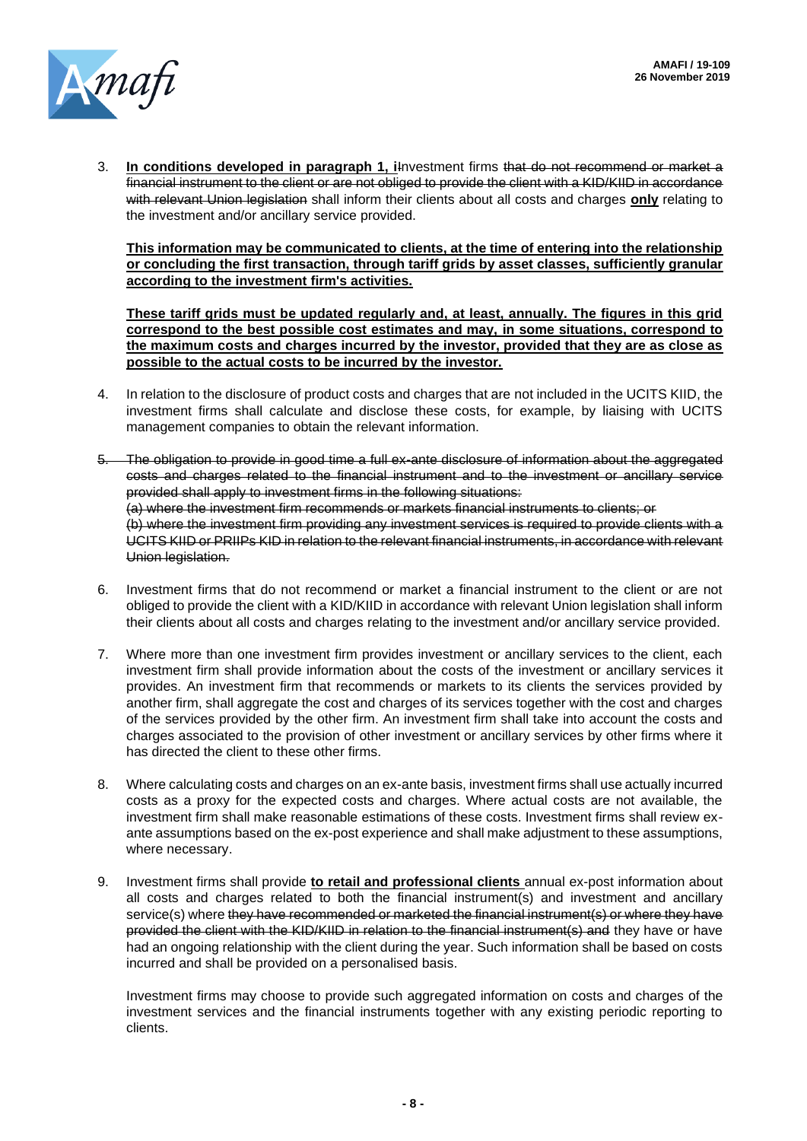

3. **In conditions developed in paragraph 1, i**Investment firms that do not recommend or market a financial instrument to the client or are not obliged to provide the client with a KID/KIID in accordance with relevant Union legislation shall inform their clients about all costs and charges only relating to the investment and/or ancillary service provided.

**This information may be communicated to clients, at the time of entering into the relationship or concluding the first transaction, through tariff grids by asset classes, sufficiently granular according to the investment firm's activities.** 

**These tariff grids must be updated regularly and, at least, annually. The figures in this grid correspond to the best possible cost estimates and may, in some situations, correspond to the maximum costs and charges incurred by the investor, provided that they are as close as possible to the actual costs to be incurred by the investor.**

- 4. In relation to the disclosure of product costs and charges that are not included in the UCITS KIID, the investment firms shall calculate and disclose these costs, for example, by liaising with UCITS management companies to obtain the relevant information.
- 5. The obligation to provide in good time a full ex-ante disclosure of information about the aggregated costs and charges related to the financial instrument and to the investment or ancillary service provided shall apply to investment firms in the following situations: (a) where the investment firm recommends or markets financial instruments to clients; or (b) where the investment firm providing any investment services is required to provide clients with a UCITS KIID or PRIIPs KID in relation to the relevant financial instruments, in accordance with relevant Union legislation.
- 6. Investment firms that do not recommend or market a financial instrument to the client or are not obliged to provide the client with a KID/KIID in accordance with relevant Union legislation shall inform their clients about all costs and charges relating to the investment and/or ancillary service provided.
- 7. Where more than one investment firm provides investment or ancillary services to the client, each investment firm shall provide information about the costs of the investment or ancillary services it provides. An investment firm that recommends or markets to its clients the services provided by another firm, shall aggregate the cost and charges of its services together with the cost and charges of the services provided by the other firm. An investment firm shall take into account the costs and charges associated to the provision of other investment or ancillary services by other firms where it has directed the client to these other firms.
- 8. Where calculating costs and charges on an ex-ante basis, investment firms shall use actually incurred costs as a proxy for the expected costs and charges. Where actual costs are not available, the investment firm shall make reasonable estimations of these costs. Investment firms shall review exante assumptions based on the ex-post experience and shall make adjustment to these assumptions, where necessary.
- 9. Investment firms shall provide **to retail and professional clients** annual ex-post information about all costs and charges related to both the financial instrument(s) and investment and ancillary service(s) where they have recommended or marketed the financial instrument(s) or where they have provided the client with the KID/KIID in relation to the financial instrument(s) and they have or have had an ongoing relationship with the client during the year. Such information shall be based on costs incurred and shall be provided on a personalised basis.

Investment firms may choose to provide such aggregated information on costs and charges of the investment services and the financial instruments together with any existing periodic reporting to clients.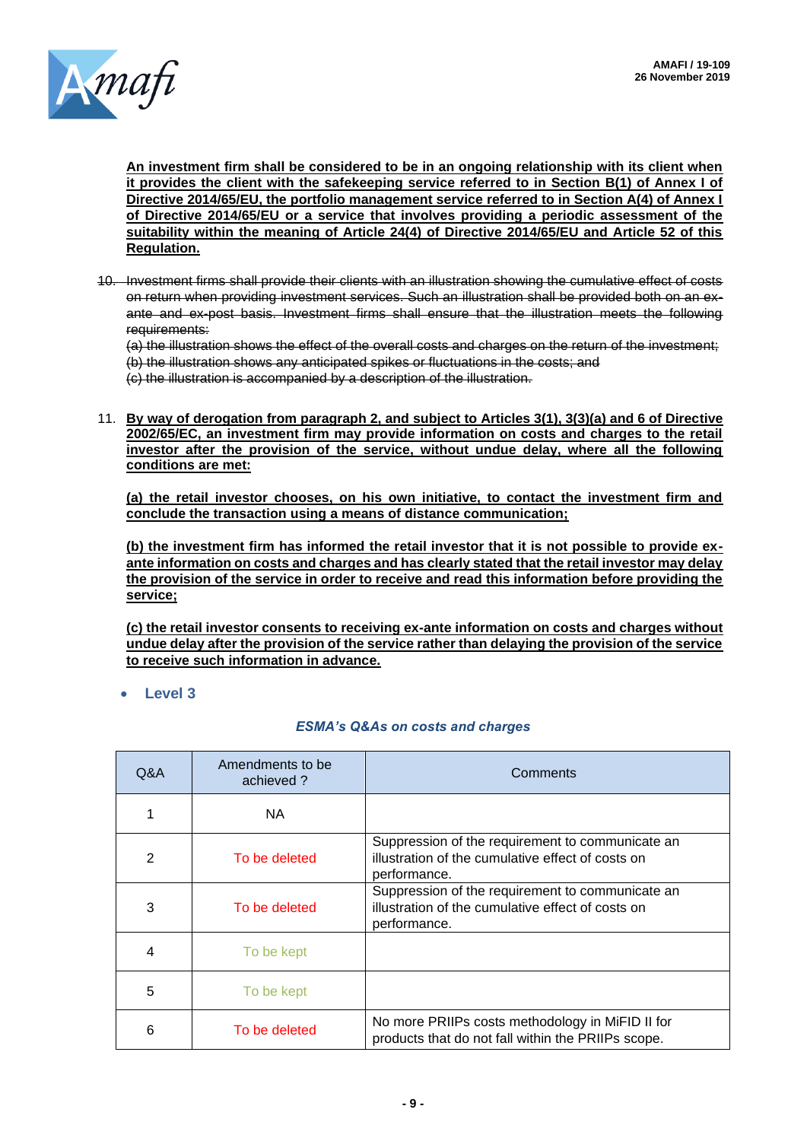

**An investment firm shall be considered to be in an ongoing relationship with its client when it provides the client with the safekeeping service referred to in Section B(1) of Annex I of Directive 2014/65/EU, the portfolio management service referred to in Section A(4) of Annex I of Directive 2014/65/EU or a service that involves providing a periodic assessment of the suitability within the meaning of Article 24(4) of Directive 2014/65/EU and Article 52 of this Regulation.** 

10. Investment firms shall provide their clients with an illustration showing the cumulative effect of costs on return when providing investment services. Such an illustration shall be provided both on an exante and ex-post basis. Investment firms shall ensure that the illustration meets the following requirements:

(a) the illustration shows the effect of the overall costs and charges on the return of the investment; (b) the illustration shows any anticipated spikes or fluctuations in the costs; and

(c) the illustration is accompanied by a description of the illustration.

11. **By way of derogation from paragraph 2, and subject to Articles 3(1), 3(3)(a) and 6 of Directive 2002/65/EC, an investment firm may provide information on costs and charges to the retail investor after the provision of the service, without undue delay, where all the following conditions are met:** 

**(a) the retail investor chooses, on his own initiative, to contact the investment firm and conclude the transaction using a means of distance communication;** 

**(b) the investment firm has informed the retail investor that it is not possible to provide exante information on costs and charges and has clearly stated that the retail investor may delay the provision of the service in order to receive and read this information before providing the service;** 

**(c) the retail investor consents to receiving ex-ante information on costs and charges without undue delay after the provision of the service rather than delaying the provision of the service to receive such information in advance.**

• **Level 3** 

### *ESMA's Q&As on costs and charges*

| Q&A            | Amendments to be<br>achieved? | Comments                                                                                                              |
|----------------|-------------------------------|-----------------------------------------------------------------------------------------------------------------------|
|                | NA.                           |                                                                                                                       |
| $\overline{2}$ | To be deleted                 | Suppression of the requirement to communicate an<br>illustration of the cumulative effect of costs on<br>performance. |
| 3              | To be deleted                 | Suppression of the requirement to communicate an<br>illustration of the cumulative effect of costs on<br>performance. |
| 4              | To be kept                    |                                                                                                                       |
| 5              | To be kept                    |                                                                                                                       |
| 6              | To be deleted                 | No more PRIIPs costs methodology in MiFID II for<br>products that do not fall within the PRIIPs scope.                |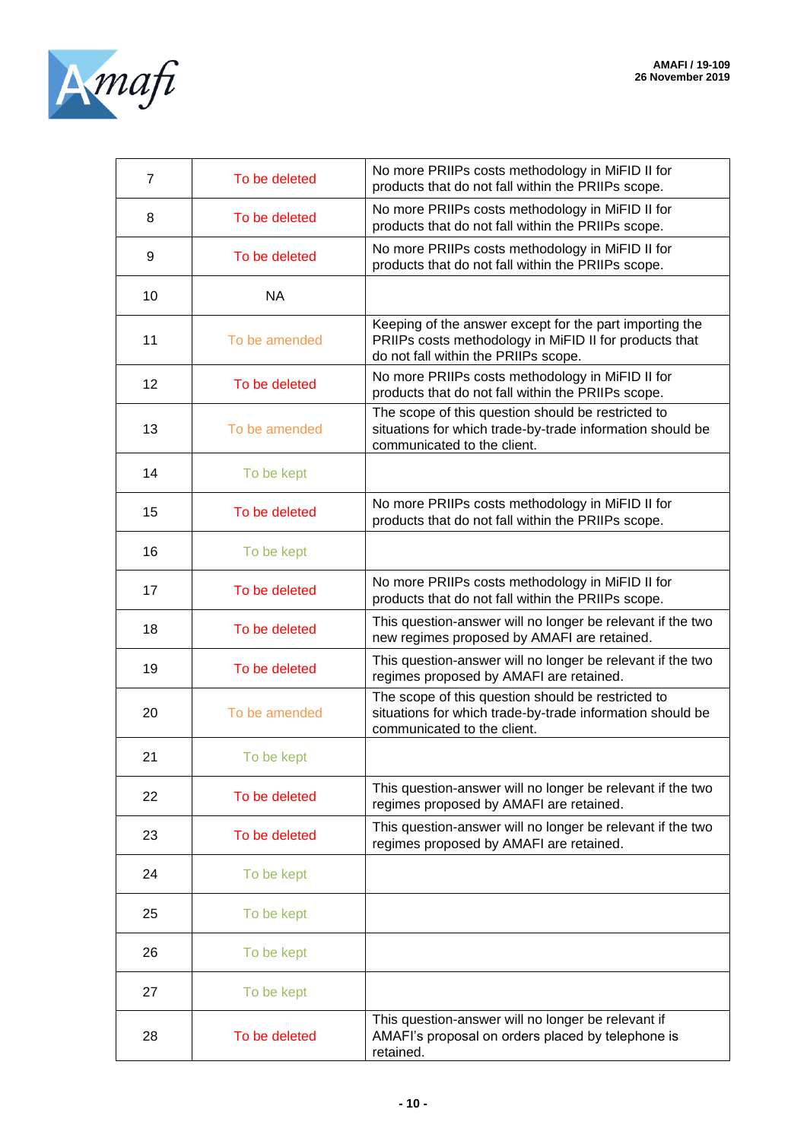

| $\overline{7}$ | To be deleted | No more PRIIPs costs methodology in MiFID II for<br>products that do not fall within the PRIIPs scope.                                                    |
|----------------|---------------|-----------------------------------------------------------------------------------------------------------------------------------------------------------|
| 8              | To be deleted | No more PRIIPs costs methodology in MiFID II for<br>products that do not fall within the PRIIPs scope.                                                    |
| 9              | To be deleted | No more PRIIPs costs methodology in MiFID II for<br>products that do not fall within the PRIIPs scope.                                                    |
| 10             | <b>NA</b>     |                                                                                                                                                           |
| 11             | To be amended | Keeping of the answer except for the part importing the<br>PRIIPs costs methodology in MiFID II for products that<br>do not fall within the PRIIPs scope. |
| 12             | To be deleted | No more PRIIPs costs methodology in MiFID II for<br>products that do not fall within the PRIIPs scope.                                                    |
| 13             | To be amended | The scope of this question should be restricted to<br>situations for which trade-by-trade information should be<br>communicated to the client.            |
| 14             | To be kept    |                                                                                                                                                           |
| 15             | To be deleted | No more PRIIPs costs methodology in MiFID II for<br>products that do not fall within the PRIIPs scope.                                                    |
| 16             | To be kept    |                                                                                                                                                           |
| 17             | To be deleted | No more PRIIPs costs methodology in MiFID II for<br>products that do not fall within the PRIIPs scope.                                                    |
| 18             | To be deleted | This question-answer will no longer be relevant if the two<br>new regimes proposed by AMAFI are retained.                                                 |
| 19             | To be deleted | This question-answer will no longer be relevant if the two<br>regimes proposed by AMAFI are retained.                                                     |
| 20             | To be amended | The scope of this question should be restricted to<br>situations for which trade-by-trade information should be<br>communicated to the client.            |
| 21             | To be kept    |                                                                                                                                                           |
| 22             | To be deleted | This question-answer will no longer be relevant if the two<br>regimes proposed by AMAFI are retained.                                                     |
| 23             | To be deleted | This question-answer will no longer be relevant if the two<br>regimes proposed by AMAFI are retained.                                                     |
| 24             | To be kept    |                                                                                                                                                           |
| 25             | To be kept    |                                                                                                                                                           |
| 26             | To be kept    |                                                                                                                                                           |
| 27             | To be kept    |                                                                                                                                                           |
| 28             | To be deleted | This question-answer will no longer be relevant if<br>AMAFI's proposal on orders placed by telephone is<br>retained.                                      |